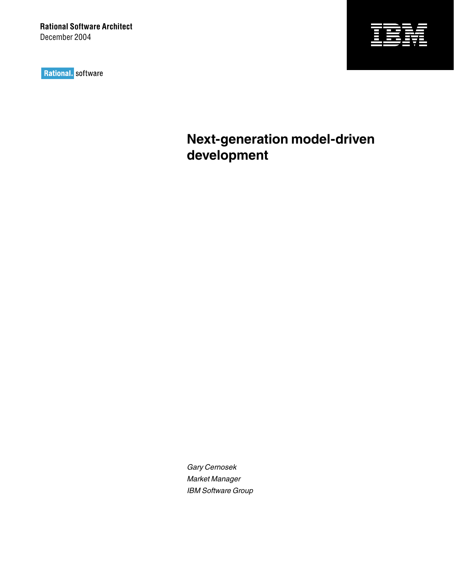Rational. software



**Next-generation model-driven development** 

Gary Cernosek Market Manager IBM Software Group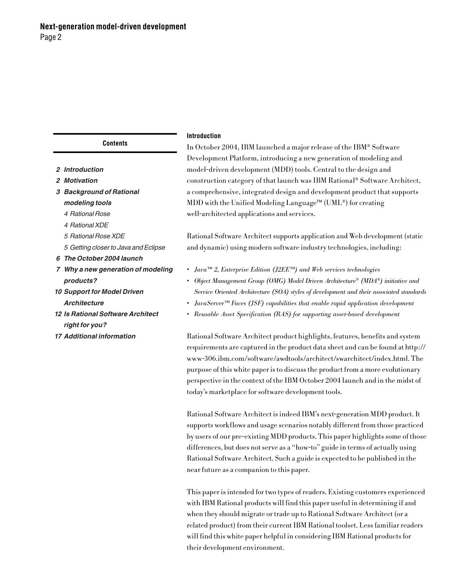**Contents**

- **2 Introduction**
- **2 Motivation**
- **3 Background of Rational modeling tools**
	- 4 Rational Rose
	- 4 Rational XDE
	- 5 Rational Rose XDE
	- 5 Getting closer to Java and Eclipse
- **6 The October 2004 launch**
- **7 Why a new generation of modeling products?**
- **10 Support for Model Driven Architecture**
- **12 Is Rational Software Architect right for you?**
- **17 Additional information**

# **Introduction**

In October 2004, IBM launched a major release of the IBM® Software Development Platform, introducing a new generation of modeling and model-driven development (MDD) tools. Central to the design and construction category of that launch was IBM Rational® Software Architect, a comprehensive, integrated design and development product that supports MDD with the Unified Modeling Language™ (UML®) for creating well-architected applications and services.

Rational Software Architect supports application and Web development (static and dynamic) using modern software industry technologies, including:

- *Java™ 2, Enterprise Edition (J2EE™) and Web services technologies*
- *Object Management Group (OMG) Model Driven Architecture® (MDA®) initiative and Service Oriented Architecture (SOA) styles of development and their associated standards*
- *JavaServer™ Faces (JSF) capabilities that enable rapid application development*
- *Reusable Asset Specification (RAS) for supporting asset-based development*

Rational Software Architect product highlights, features, benefits and system requirements are captured in the product data sheet and can be found at [http://](http://www-306.ibm.com/software/awdtools/architect/swarchitect/index.html) [www-306.ibm.com/software/awdtools/architect/swarchitect/index.html](http://www-306.ibm.com/software/awdtools/architect/swarchitect/index.html). The purpose of this white paper is to discuss the product from a more evolutionary perspective in the context of the IBM October 2004 launch and in the midst of today's marketplace for software development tools.

Rational Software Architect is indeed IBM's next-generation MDD product. It supports workflows and usage scenarios notably different from those practiced by users of our pre-existing MDD products. This paper highlights some of those differences, but does not serve as a "how-to" guide in terms of actually using Rational Software Architect. Such a guide is expected to be published in the near future as a companion to this paper.

This paper is intended for two types of readers. Existing customers experienced with IBM Rational products will find this paper useful in determining if and when they should migrate or trade up to Rational Software Architect (or a related product) from their current IBM Rational toolset. Less familiar readers will find this white paper helpful in considering IBM Rational products for their development environment.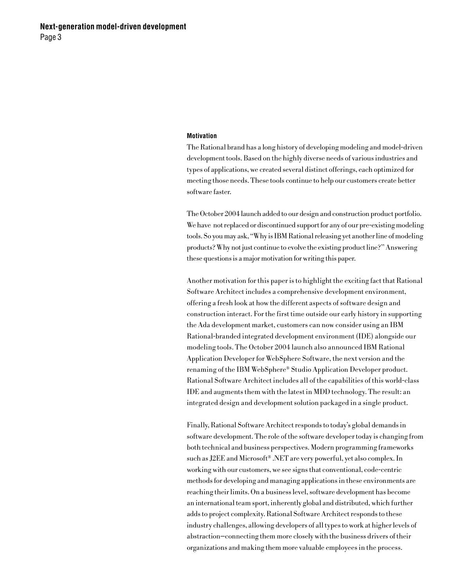# **Motivation**

The Rational brand has a long history of developing modeling and model-driven development tools. Based on the highly diverse needs of various industries and types of applications, we created several distinct offerings, each optimized for meeting those needs. These tools continue to help our customers create better software faster.

The October 2004 launch added to our design and construction product portfolio. We have not replaced or discontinued support for any of our pre-existing modeling tools. So you may ask, "Why is IBM Rational releasing yet another line of modeling products? Why not just continue to evolve the existing product line?" Answering these questions is a major motivation for writing this paper.

Another motivation for this paper is to highlight the exciting fact that Rational Software Architect includes a comprehensive development environment, offering a fresh look at how the different aspects of software design and construction interact. For the first time outside our early history in supporting the Ada development market, customers can now consider using an IBM Rational-branded integrated development environment (IDE) alongside our modeling tools. The October 2004 launch also announced IBM Rational Application Developer for WebSphere Software, the next version and the renaming of the IBM WebSphere® Studio Application Developer product. Rational Software Architect includes all of the capabilities of this world-class IDE and augments them with the latest in MDD technology. The result: an integrated design and development solution packaged in a single product.

Finally, Rational Software Architect responds to today's global demands in software development. The role of the software developer today is changing from both technical and business perspectives. Modern programming frameworks such as J2EE and Microsoft® .NET are very powerful, yet also complex. In working with our customers, we see signs that conventional, code-centric methods for developing and managing applications in these environments are reaching their limits. On a business level, software development has become an international team sport, inherently global and distributed, which further adds to project complexity. Rational Software Architect responds to these industry challenges, allowing developers of all types to work at higher levels of abstraction—connecting them more closely with the business drivers of their organizations and making them more valuable employees in the process.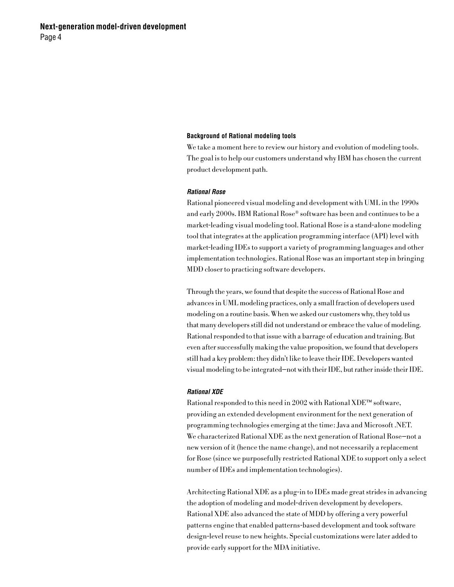## **Background of Rational modeling tools**

We take a moment here to review our history and evolution of modeling tools. The goal is to help our customers understand why IBM has chosen the current product development path.

### **Rational Rose**

Rational pioneered visual modeling and development with UML in the 1990s and early 2000s. IBM Rational Rose® software has been and continues to be a market-leading visual modeling tool. Rational Rose is a stand-alone modeling tool that integrates at the application programming interface (API) level with market-leading IDEs to support a variety of programming languages and other implementation technologies. Rational Rose was an important step in bringing MDD closer to practicing software developers.

Through the years, we found that despite the success of Rational Rose and advances in UML modeling practices, only a small fraction of developers used modeling on a routine basis. When we asked our customers why, they told us that many developers still did not understand or embrace the value of modeling. Rational responded to that issue with a barrage of education and training. But even after successfully making the value proposition, we found that developers still had a key problem: they didn't like to leave their IDE. Developers wanted visual modeling to be integrated—not with their IDE, but rather inside their IDE.

## **Rational XDE**

Rational responded to this need in 2002 with Rational XDE™ software, providing an extended development environment for the next generation of programming technologies emerging at the time: Java and Microsoft .NET. We characterized Rational XDE as the next generation of Rational Rose—not a new version of it (hence the name change), and not necessarily a replacement for Rose (since we purposefully restricted Rational XDE to support only a select number of IDEs and implementation technologies).

Architecting Rational XDE as a plug-in to IDEs made great strides in advancing the adoption of modeling and model-driven development by developers. Rational XDE also advanced the state of MDD by offering a very powerful patterns engine that enabled patterns-based development and took software design-level reuse to new heights. Special customizations were later added to provide early support for the MDA initiative.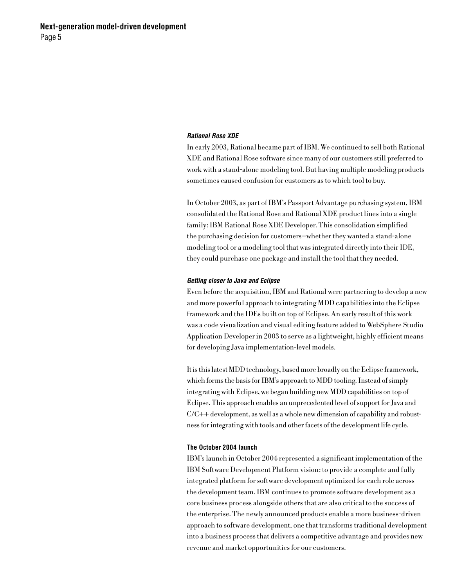### **Rational Rose XDE**

In early 2003, Rational became part of IBM. We continued to sell both Rational XDE and Rational Rose software since many of our customers still preferred to work with a stand-alone modeling tool. But having multiple modeling products sometimes caused confusion for customers as to which tool to buy.

In October 2003, as part of IBM's Passport Advantage purchasing system, IBM consolidated the Rational Rose and Rational XDE product lines into a single family: IBM Rational Rose XDE Developer. This consolidation simplified the purchasing decision for customers—whether they wanted a stand-alone modeling tool or a modeling tool that was integrated directly into their IDE, they could purchase one package and install the tool that they needed.

### **Getting closer to Java and Eclipse**

Even before the acquisition, IBM and Rational were partnering to develop a new and more powerful approach to integrating MDD capabilities into the Eclipse framework and the IDEs built on top of Eclipse. An early result of this work was a code visualization and visual editing feature added to WebSphere Studio Application Developer in 2003 to serve as a lightweight, highly efficient means for developing Java implementation-level models.

It is this latest MDD technology, based more broadly on the Eclipse framework, which forms the basis for IBM's approach to MDD tooling. Instead of simply integrating with Eclipse, we began building new MDD capabilities on top of Eclipse. This approach enables an unprecedented level of support for Java and C/C++ development, as well as a whole new dimension of capability and robustness for integrating with tools and other facets of the development life cycle.

#### **The October 2004 launch**

IBM's launch in October 2004 represented a significant implementation of the IBM Software Development Platform vision: to provide a complete and fully integrated platform for software development optimized for each role across the development team. IBM continues to promote software development as a core business process alongside others that are also critical to the success of the enterprise. The newly announced products enable a more business-driven approach to software development, one that transforms traditional development into a business process that delivers a competitive advantage and provides new revenue and market opportunities for our customers.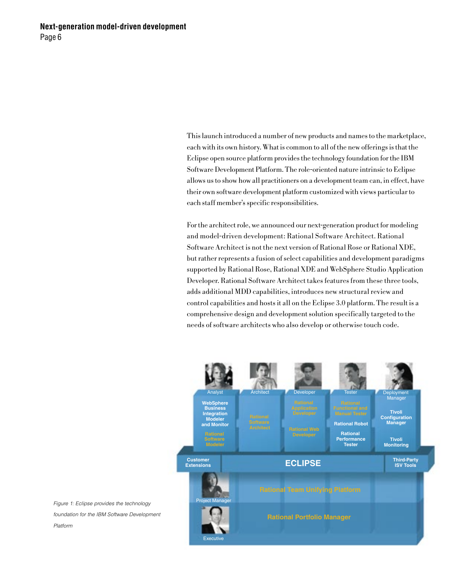This launch introduced a number of new products and names to the marketplace, each with its own history. What is common to all of the new offerings is that the Eclipse open source platform provides the technology foundation for the IBM Software Development Platform. The role-oriented nature intrinsic to Eclipse allows us to show how all practitioners on a development team can, in effect, have their own software development platform customized with views particular to each staff member's specific responsibilities.

For the architect role, we announced our next-generation product for modeling and model-driven development: Rational Software Architect. Rational Software Architect is not the next version of Rational Rose or Rational XDE, but rather represents a fusion of select capabilities and development paradigms supported by Rational Rose, Rational XDE and WebSphere Studio Application Developer. Rational Software Architect takes features from these three tools, adds additional MDD capabilities, introduces new structural review and control capabilities and hosts it all on the Eclipse 3.0 platform. The result is a comprehensive design and development solution specifically targeted to the needs of software architects who also develop or otherwise touch code.



Figure 1: Eclipse provides the technology foundation for the IBM Software Development Platform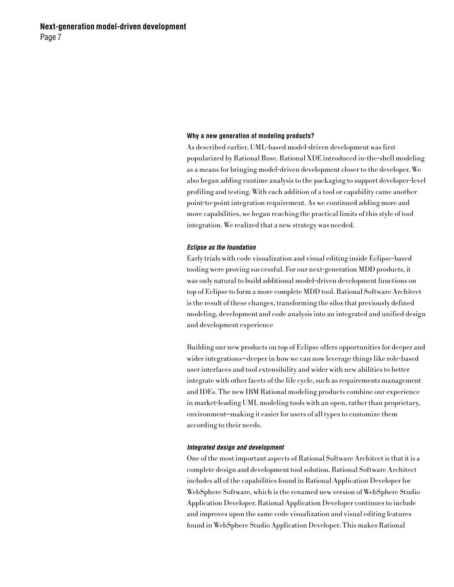### **Why a new generation of modeling products?**

As described earlier, UML-based model-driven development was first popularized by Rational Rose. Rational XDE introduced in-the-shell modeling as a means for bringing model-driven development closer to the developer. We also began adding runtime analysis to the packaging to support developer-level profiling and testing. With each addition of a tool or capability came another point-to-point integration requirement. As we continued adding more and more capabilities, we began reaching the practical limits of this style of tool integration. We realized that a new strategy was needed.

### **Eclipse as the foundation**

Early trials with code visualization and visual editing inside Eclipse-based tooling were proving successful. For our next-generation MDD products, it was only natural to build additional model-driven development functions on top of Eclipse to form a more complete MDD tool. Rational Software Architect is the result of these changes, transforming the silos that previously defined modeling, development and code analysis into an integrated and unified design and development experience

Building our new products on top of Eclipse offers opportunities for deeper and wider integrations—deeper in how we can now leverage things like role-based user interfaces and tool extensibility and wider with new abilities to better integrate with other facets of the life cycle, such as requirements management and IDEs. The new IBM Rational modeling products combine our experience in market-leading UML modeling tools with an open, rather than proprietary, environment—making it easier for users of all types to customize them according to their needs.

### **Integrated design and development**

One of the most important aspects of Rational Software Architect is that it is a complete design and development tool solution. Rational Software Architect includes all of the capabilities found in Rational Application Developer for WebSphere Software, which is the renamed new version of WebSphere Studio Application Developer. Rational Application Developer continues to include and improves upon the same code visualization and visual editing features found in WebSphere Studio Application Developer. This makes Rational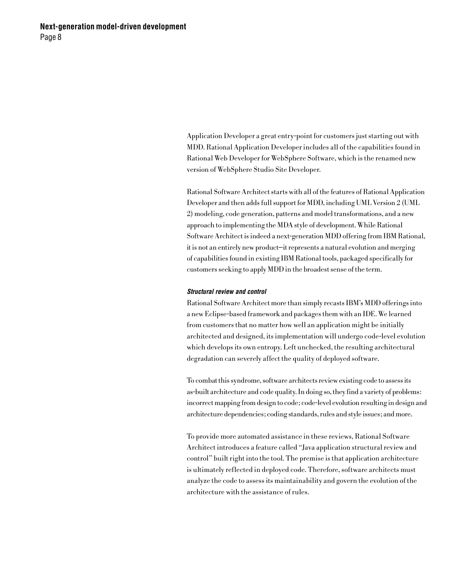Application Developer a great entry-point for customers just starting out with MDD. Rational Application Developer includes all of the capabilities found in Rational Web Developer for WebSphere Software, which is the renamed new version of WebSphere Studio Site Developer.

Rational Software Architect starts with all of the features of Rational Application Developer and then adds full support for MDD, including UML Version 2 (UML 2) modeling, code generation, patterns and model transformations, and a new approach to implementing the MDA style of development. While Rational Software Architect is indeed a next-generation MDD offering from IBM Rational, it is not an entirely new product—it represents a natural evolution and merging of capabilities found in existing IBM Rational tools, packaged specifically for customers seeking to apply MDD in the broadest sense of the term.

# **Structural review and control**

Rational Software Architect more than simply recasts IBM's MDD offerings into a new Eclipse-based framework and packages them with an IDE. We learned from customers that no matter how well an application might be initially architected and designed, its implementation will undergo code-level evolution which develops its own entropy. Left unchecked, the resulting architectural degradation can severely affect the quality of deployed software.

To combat this syndrome, software architects review existing code to assess its as-built architecture and code quality. In doing so, they find a variety of problems: incorrect mapping from design to code; code-level evolution resulting in design and architecture dependencies; coding standards, rules and style issues; and more.

To provide more automated assistance in these reviews, Rational Software Architect introduces a feature called "Java application structural review and control" built right into the tool. The premise is that application architecture is ultimately reflected in deployed code. Therefore, software architects must analyze the code to assess its maintainability and govern the evolution of the architecture with the assistance of rules.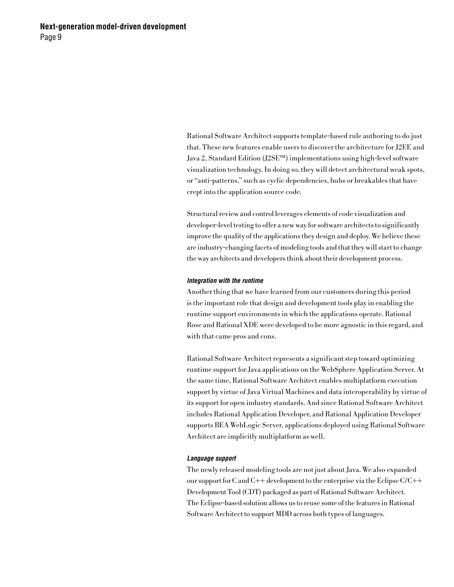Rational Software Architect supports template-based rule authoring to do just that. These new features enable users to discover the architecture for J2EE and Java 2, Standard Edition (J2SE™) implementations using high-level software visualization technology. In doing so, they will detect architectural weak spots, or "anti-patterns," such as cyclic dependencies, hubs or breakables that have crept into the application source code.

Structural review and control leverages elements of code visualization and developer-level testing to offer a new way for software architects to significantly improve the quality of the applications they design and deploy. We believe these are industry-changing facets of modeling tools and that they will start to change the way architects and developers think about their development process.

# **Integration with the runtime**

Another thing that we have learned from our customers during this period is the important role that design and development tools play in enabling the runtime support environments in which the applications operate. Rational Rose and Rational XDE were developed to be more agnostic in this regard, and with that came pros and cons.

Rational Software Architect represents a significant step toward optimizing runtime support for Java applications on the WebSphere Application Server. At the same time, Rational Software Architect enables multiplatform execution support by virtue of Java Virtual Machines and data interoperability by virtue of its support for open industry standards. And since Rational Software Architect includes Rational Application Developer, and Rational Application Developer supports BEA WebLogic Server, applications deployed using Rational Software Architect are implicitly multiplatform as well.

# **Language support**

The newly released modeling tools are not just about Java. We also expanded our support for C and C++ development to the enterprise via the Eclipse C/C++ Development Tool (CDT) packaged as part of Rational Software Architect. The Eclipse-based solution allows us to reuse some of the features in Rational Software Architect to support MDD across both types of languages.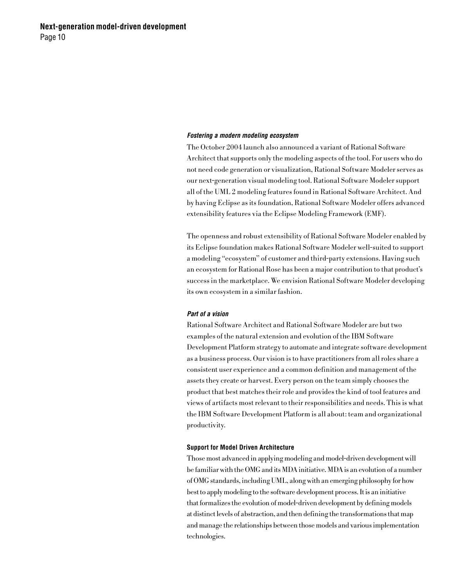## **Fostering a modern modeling ecosystem**

The October 2004 launch also announced a variant of Rational Software Architect that supports only the modeling aspects of the tool. For users who do not need code generation or visualization, Rational Software Modeler serves as our next-generation visual modeling tool. Rational Software Modeler support all of the UML 2 modeling features found in Rational Software Architect. And by having Eclipse as its foundation, Rational Software Modeler offers advanced extensibility features via the Eclipse Modeling Framework (EMF).

The openness and robust extensibility of Rational Software Modeler enabled by its Eclipse foundation makes Rational Software Modeler well-suited to support a modeling "ecosystem" of customer and third-party extensions. Having such an ecosystem for Rational Rose has been a major contribution to that product's success in the marketplace. We envision Rational Software Modeler developing its own ecosystem in a similar fashion.

# **Part of a vision**

Rational Software Architect and Rational Software Modeler are but two examples of the natural extension and evolution of the IBM Software Development Platform strategy to automate and integrate software development as a business process. Our vision is to have practitioners from all roles share a consistent user experience and a common definition and management of the assets they create or harvest. Every person on the team simply chooses the product that best matches their role and provides the kind of tool features and views of artifacts most relevant to their responsibilities and needs. This is what the IBM Software Development Platform is all about: team and organizational productivity.

#### **Support for Model Driven Architecture**

Those most advanced in applying modeling and model-driven development will be familiar with the OMG and its MDA initiative. MDA is an evolution of a number of OMG standards, including UML, along with an emerging philosophy for how best to apply modeling to the software development process. It is an initiative that formalizes the evolution of model-driven development by defining models at distinct levels of abstraction, and then defining the transformations that map and manage the relationships between those models and various implementation technologies.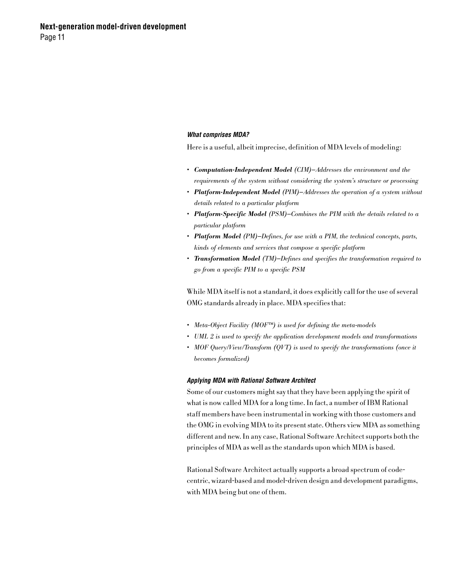## **What comprises MDA?**

Here is a useful, albeit imprecise, definition of MDA levels of modeling:

- *Computation-Independent Model (CIM)—Addresses the environment and the requirements of the system without considering the system's structure or processing*
- *Platform-Independent Model (PIM)—Addresses the operation of a system without details related to a particular platform*
- *Platform-Specific Model (PSM)—Combines the PIM with the details related to a particular platform*
- *Platform Model (PM)—Defines, for use with a PIM, the technical concepts, parts, kinds of elements and services that compose a specific platform*
- *Transformation Model (TM)—Defines and specifies the transformation required to go from a specific PIM to a specific PSM*

While MDA itself is not a standard, it does explicitly call for the use of several OMG standards already in place. MDA specifies that:

- *Meta-Object Facility (MOF™) is used for defining the meta-models*
- *UML 2 is used to specify the application development models and transformations*
- *MOF Query/View/Transform (QVT) is used to specify the transformations (once it becomes formalized)*

### **Applying MDA with Rational Software Architect**

Some of our customers might say that they have been applying the spirit of what is now called MDA for a long time. In fact, a number of IBM Rational staff members have been instrumental in working with those customers and the OMG in evolving MDA to its present state. Others view MDA as something different and new. In any case, Rational Software Architect supports both the principles of MDA as well as the standards upon which MDA is based.

Rational Software Architect actually supports a broad spectrum of codecentric, wizard-based and model-driven design and development paradigms, with MDA being but one of them.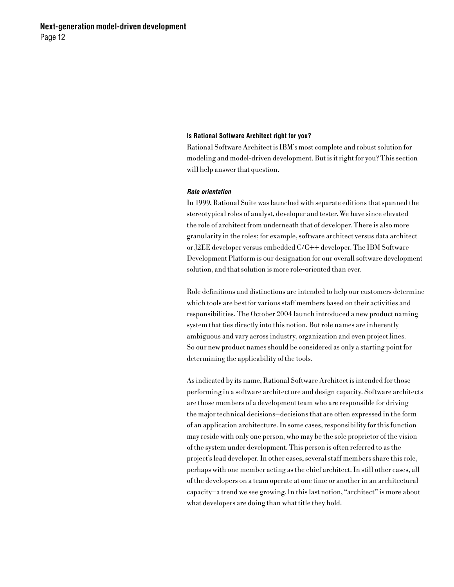## **Is Rational Software Architect right for you?**

Rational Software Architect is IBM's most complete and robust solution for modeling and model-driven development. But is it right for you? This section will help answer that question.

#### **Role orientation**

In 1999, Rational Suite was launched with separate editions that spanned the stereotypical roles of analyst, developer and tester. We have since elevated the role of architect from underneath that of developer. There is also more granularity in the roles; for example, software architect versus data architect or J2EE developer versus embedded C/C++ developer. The IBM Software Development Platform is our designation for our overall software development solution, and that solution is more role-oriented than ever.

Role definitions and distinctions are intended to help our customers determine which tools are best for various staff members based on their activities and responsibilities. The October 2004 launch introduced a new product naming system that ties directly into this notion. But role names are inherently ambiguous and vary across industry, organization and even project lines. So our new product names should be considered as only a starting point for determining the applicability of the tools.

As indicated by its name, Rational Software Architect is intended for those performing in a software architecture and design capacity. Software architects are those members of a development team who are responsible for driving the major technical decisions—decisions that are often expressed in the form of an application architecture. In some cases, responsibility for this function may reside with only one person, who may be the sole proprietor of the vision of the system under development. This person is often referred to as the project's lead developer. In other cases, several staff members share this role, perhaps with one member acting as the chief architect. In still other cases, all of the developers on a team operate at one time or another in an architectural capacity—a trend we see growing. In this last notion, "architect" is more about what developers are doing than what title they hold.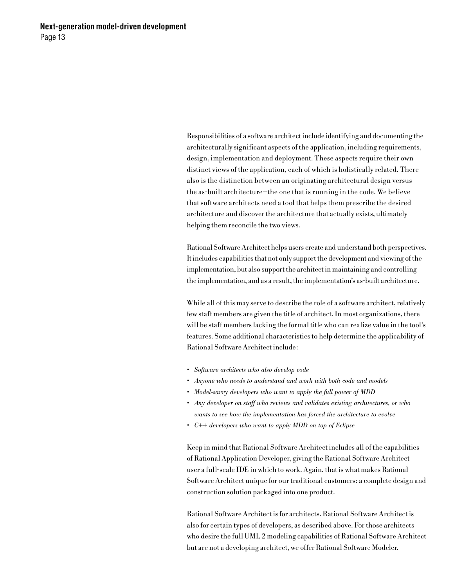Responsibilities of a software architect include identifying and documenting the architecturally significant aspects of the application, including requirements, design, implementation and deployment. These aspects require their own distinct views of the application, each of which is holistically related. There also is the distinction between an originating architectural design versus the as-built architecture—the one that is running in the code. We believe that software architects need a tool that helps them prescribe the desired architecture and discover the architecture that actually exists, ultimately helping them reconcile the two views.

Rational Software Architect helps users create and understand both perspectives. It includes capabilities that not only support the development and viewing of the implementation, but also support the architect in maintaining and controlling the implementation, and as a result, the implementation's as-built architecture.

While all of this may serve to describe the role of a software architect, relatively few staff members are given the title of architect. In most organizations, there will be staff members lacking the formal title who can realize value in the tool's features. Some additional characteristics to help determine the applicability of Rational Software Architect include:

- *Software architects who also develop code*
- *Anyone who needs to understand and work with both code and models*
- *Model-savvy developers who want to apply the full power of MDD*
- *Any developer on staff who reviews and validates existing architectures, or who wants to see how the implementation has forced the architecture to evolve*
- *C++ developers who want to apply MDD on top of Eclipse*

Keep in mind that Rational Software Architect includes all of the capabilities of Rational Application Developer, giving the Rational Software Architect user a full-scale IDE in which to work. Again, that is what makes Rational Software Architect unique for our traditional customers: a complete design and construction solution packaged into one product.

Rational Software Architect is for architects. Rational Software Architect is also for certain types of developers, as described above. For those architects who desire the full UML 2 modeling capabilities of Rational Software Architect but are not a developing architect, we offer Rational Software Modeler.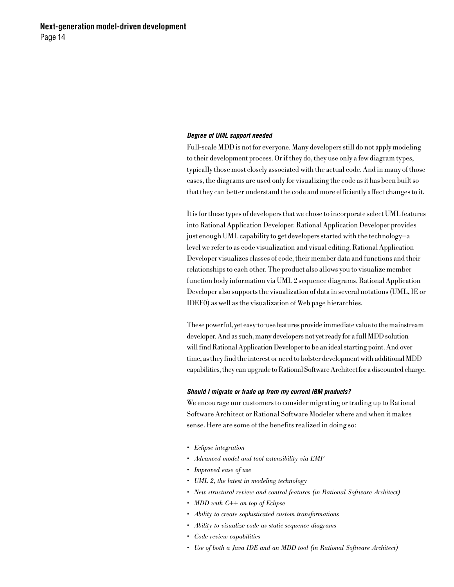### **Degree of UML support needed**

Full-scale MDD is not for everyone. Many developers still do not apply modeling to their development process. Or if they do, they use only a few diagram types, typically those most closely associated with the actual code. And in many of those cases, the diagrams are used only for visualizing the code as it has been built so that they can better understand the code and more efficiently affect changes to it.

It is for these types of developers that we chose to incorporate select UML features into Rational Application Developer. Rational Application Developer provides just enough UML capability to get developers started with the technology—a level we refer to as code visualization and visual editing. Rational Application Developer visualizes classes of code, their member data and functions and their relationships to each other. The product also allows you to visualize member function body information via UML 2 sequence diagrams. Rational Application Developer also supports the visualization of data in several notations (UML, IE or IDEF0) as well as the visualization of Web page hierarchies.

These powerful, yet easy-to-use features provide immediate value to the mainstream developer. And as such, many developers not yet ready for a full MDD solution will find Rational Application Developer to be an ideal starting point. And over time, as they find the interest or need to bolster development with additional MDD capabilities, they can upgrade to Rational Software Architect for a discounted charge.

# **Should I migrate or trade up from my current IBM products?**

We encourage our customers to consider migrating or trading up to Rational Software Architect or Rational Software Modeler where and when it makes sense. Here are some of the benefits realized in doing so:

- *Eclipse integration*
- *Advanced model and tool extensibility via EMF*
- *Improved ease of use*
- *UML 2, the latest in modeling technology*
- *New structural review and control features (in Rational Software Architect)*
- *MDD with C++ on top of Eclipse*
- *Ability to create sophisticated custom transformations*
- *Ability to visualize code as static sequence diagrams*
- *Code review capabilities*
- *Use of both a Java IDE and an MDD tool (in Rational Software Architect)*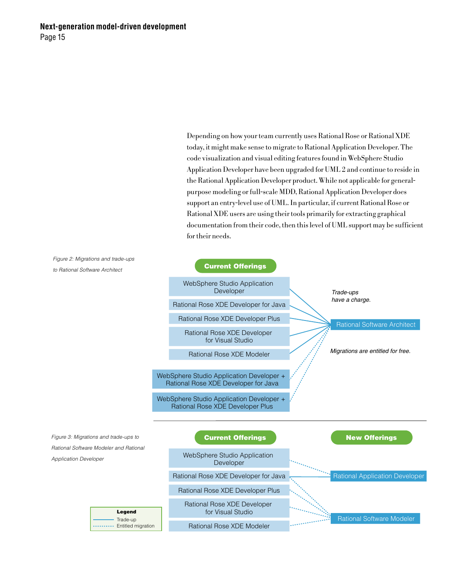Depending on how your team currently uses Rational Rose or Rational XDE today, it might make sense to migrate to Rational Application Developer. The code visualization and visual editing features found in WebSphere Studio Application Developer have been upgraded for UML 2 and continue to reside in the Rational Application Developer product. While not applicable for generalpurpose modeling or full-scale MDD, Rational Application Developer does support an entry-level use of UML. In particular, if current Rational Rose or Rational XDE users are using their tools primarily for extracting graphical documentation from their code, then this level of UML support may be sufficient for their needs.